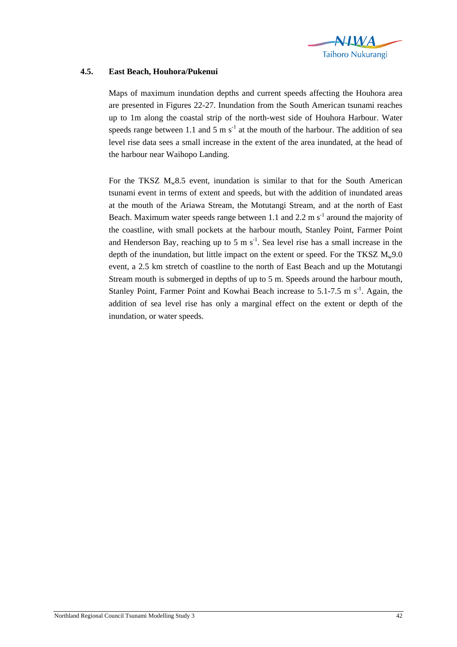

## **4.5. East Beach, Houhora/Pukenui**

Maps of maximum inundation depths and current speeds affecting the Houhora area are presented in Figures 22-27. Inundation from the South American tsunami reaches up to 1m along the coastal strip of the north-west side of Houhora Harbour. Water speeds range between 1.1 and 5 m  $s^{-1}$  at the mouth of the harbour. The addition of sea level rise data sees a small increase in the extent of the area inundated, at the head of the harbour near Waihopo Landing.

For the TKSZ  $M_w8.5$  event, inundation is similar to that for the South American tsunami event in terms of extent and speeds, but with the addition of inundated areas at the mouth of the Ariawa Stream, the Motutangi Stream, and at the north of East Beach. Maximum water speeds range between 1.1 and 2.2 m  $s^{-1}$  around the majority of the coastline, with small pockets at the harbour mouth, Stanley Point, Farmer Point and Henderson Bay, reaching up to 5 m  $s^{-1}$ . Sea level rise has a small increase in the depth of the inundation, but little impact on the extent or speed. For the TKSZ  $M_w9.0$ event, a 2.5 km stretch of coastline to the north of East Beach and up the Motutangi Stream mouth is submerged in depths of up to 5 m. Speeds around the harbour mouth, Stanley Point, Farmer Point and Kowhai Beach increase to  $5.1$ -7.5 m s<sup>-1</sup>. Again, the addition of sea level rise has only a marginal effect on the extent or depth of the inundation, or water speeds.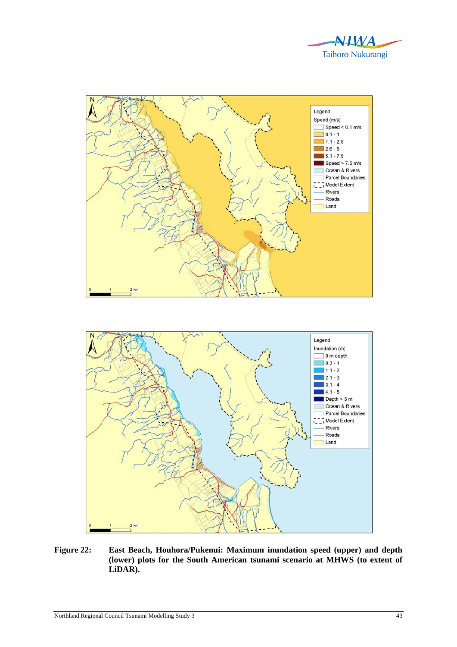



**Figure 22: East Beach, Houhora/Pukenui: Maximum inundation speed (upper) and depth (lower) plots for the South American tsunami scenario at MHWS (to extent of LiDAR).**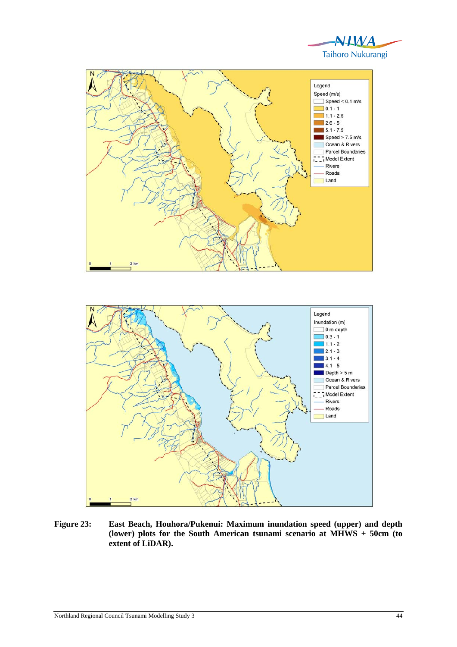



- **Figure 23: East Beach, Houhora/Pukenui: Maximum inundation speed (upper) and depth**
- **(lower) plots for the South American tsunami scenario at MHWS + 50cm (to extent of LiDAR).**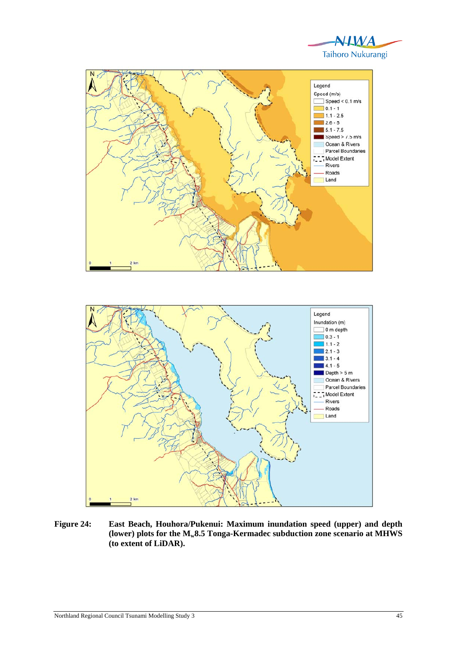





**Figure 24: East Beach, Houhora/Pukenui: Maximum inundation speed (upper) and depth (lower) plots for the Mw8.5 Tonga-Kermadec subduction zone scenario at MHWS (to extent of LiDAR).**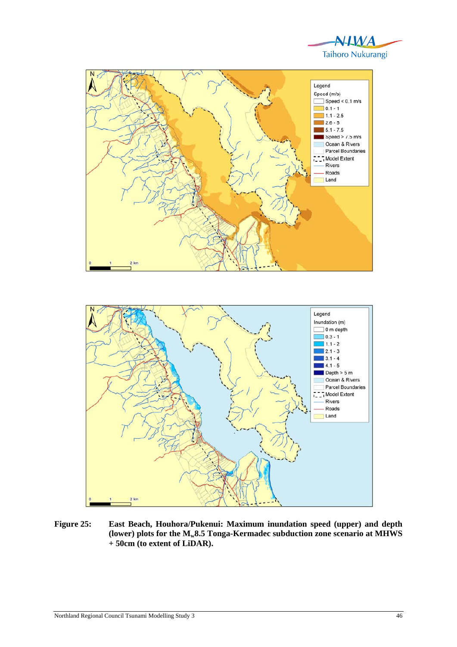





**Figure 25: East Beach, Houhora/Pukenui: Maximum inundation speed (upper) and depth**  (lower) plots for the  $M_{w}8.5$  Tonga-Kermadec subduction zone scenario at MHWS **+ 50cm (to extent of LiDAR).**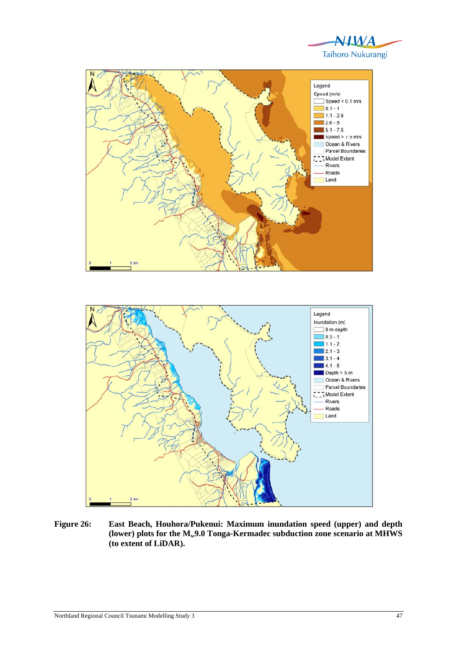





**Figure 26: East Beach, Houhora/Pukenui: Maximum inundation speed (upper) and depth**  (lower) plots for the  $M_{w}$ 9.0 Tonga-Kermadec subduction zone scenario at MHWS **(to extent of LiDAR).**